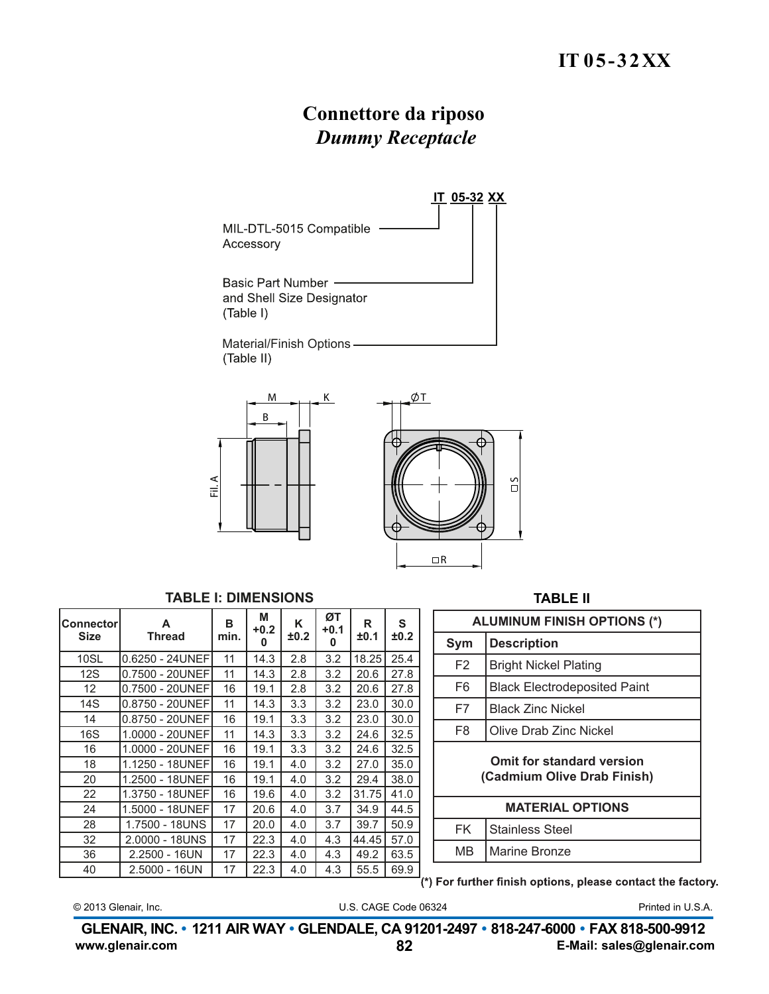# **Connettore da riposo** *Dummy Receptacle*





## **TABLE I: DIMENSIONS**

Fil. A

| <b>Connector</b><br><b>Size</b> | A<br><b>Thread</b>        | в<br>min. | M<br>$+0.2$<br>0 | K<br>±0.2 | ØT<br>$+0.1$<br>0 | $\mathsf{R}$<br>±0.1 | S<br>±0.2 |  |                                                          | <b>ALUMINUM FINISH OPTIONS (*)</b>  |  |  |
|---------------------------------|---------------------------|-----------|------------------|-----------|-------------------|----------------------|-----------|--|----------------------------------------------------------|-------------------------------------|--|--|
|                                 |                           |           |                  |           |                   |                      |           |  | Sym                                                      | <b>Description</b>                  |  |  |
| 10SL                            | 0.6250 - 24UNEFI          | 11        | 14.3             | 2.8       | 3.2               | 18.25                | 25.4      |  | F <sub>2</sub>                                           | <b>Bright Nickel Plating</b>        |  |  |
| 12S                             | l0.7500 - 20UNEF <b>I</b> | 11        | 14.3             | 2.8       | 3.2               | 20.6                 | 27.8      |  |                                                          |                                     |  |  |
| 12                              | 0.7500 - 20UNEFI          | 16        | 19.1             | 2.8       | 3.2               | 20.6                 | 27.8      |  | F <sub>6</sub>                                           | <b>Black Electrodeposited Paint</b> |  |  |
| 14S                             | l0.8750 - 20UNEFI         | 11        | 14.3             | 3.3       | 3.2               | 23.0                 | 30.0      |  | F7                                                       | <b>Black Zinc Nickel</b>            |  |  |
| 14                              | l0.8750 - 20UNEF <b>I</b> | 16        | 19.1             | 3.3       | 3.2               | 23.0                 | 30.0      |  |                                                          |                                     |  |  |
| 16S                             | 1.0000 - 20UNEFI          | 11        | 14.3             | 3.3       | 3.2               | 24.6                 | 32.5      |  | F8                                                       | Olive Drab Zinc Nickel              |  |  |
| 16                              | 1.0000 - 20UNEF           | 16        | 19.1             | 3.3       | 3.2               | 24.6                 | 32.5      |  |                                                          |                                     |  |  |
| 18                              | 1.1250 - 18UNEFI          | 16        | 19.1             | 4.0       | 3.2               | 27.0                 | 35.0      |  | Omit for standard version<br>(Cadmium Olive Drab Finish) |                                     |  |  |
| 20                              | 1.2500 - 18UNEFI          | 16        | 19.1             | 4.0       | 3.2               | 29.4                 | 38.0      |  |                                                          |                                     |  |  |
| 22                              | 1.3750 - 18UNEF           | 16        | 19.6             | 4.0       | 3.2               | 31.75                | 41.0      |  |                                                          |                                     |  |  |
| 24                              | 1.5000 - 18UNEF           | 17        | 20.6             | 4.0       | 3.7               | 34.9                 | 44.5      |  |                                                          | <b>MATERIAL OPTIONS</b>             |  |  |
| 28                              | 1.7500 - 18UNS            | 17        | 20.0             | 4.0       | 3.7               | 39.7                 | 50.9      |  | <b>FK</b>                                                | <b>Stainless Steel</b>              |  |  |
| 32                              | 2.0000 - 18UNS            | 17        | 22.3             | 4.0       | 4.3               | 44.45                | 57.0      |  |                                                          |                                     |  |  |
| 36                              | 2.2500 - 16UN             | 17        | 22.3             | 4.0       | 4.3               | 49.2                 | 63.5      |  | MВ                                                       | Marine Bronze                       |  |  |
| 40                              | 2.5000 - 16UN             | 17        | 22.3             | 4.0       | 4.3               | 55.5                 | 69.9      |  |                                                          |                                     |  |  |

 $\dot{a}^{\dagger}$  For further finish options, please contact the factory.

**TABLE II**

U.S. CAGE Code 06324 © 2013 Glenair, Inc. Printed in U.S.A.

www.glenair.com **w.glenair.com 82 E-Mail: sales@glenair.com GLENAIR, INC. • 1211 AIR WAY • GLENDALE, CA 91201-2497 • 818-247-6000 • FAX 818-500-9912** GLENAIR, INC. • 1211 AIR WAY • GLENDALE, CA 91201-2497 • 818-247-6000 • FAX 818-500-9912